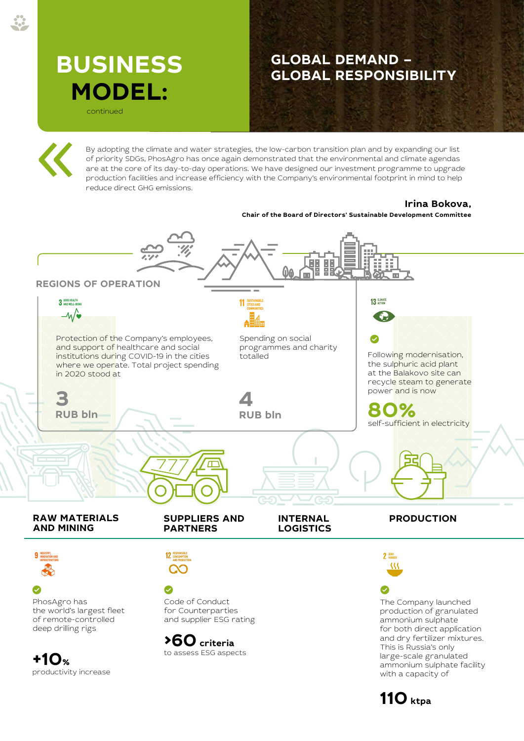## **BUSINESS MODEL:**

continued

## **GLOBAL DEMAND – GLOBAL RESPONSIBILITY**

THE 2020 INTEGRATED ANNUAL REPORT OF PJSC PHOSAGRO

By adopting the climate and water strategies, the low-carbon transition plan and by expanding our list of priority SDGs, PhosAgro has once again demonstrated that the environmental and climate agendas are at the core of its day-to-day operations. We have designed our investment programme to upgrade production facilities and increase efficiency with the Company's environmental footprint in mind to help reduce direct GHG emissions.

## **Irina Bokova,**

**Chair of the Board of Directors' Sustainable Development Committee**



**110 ktpa**